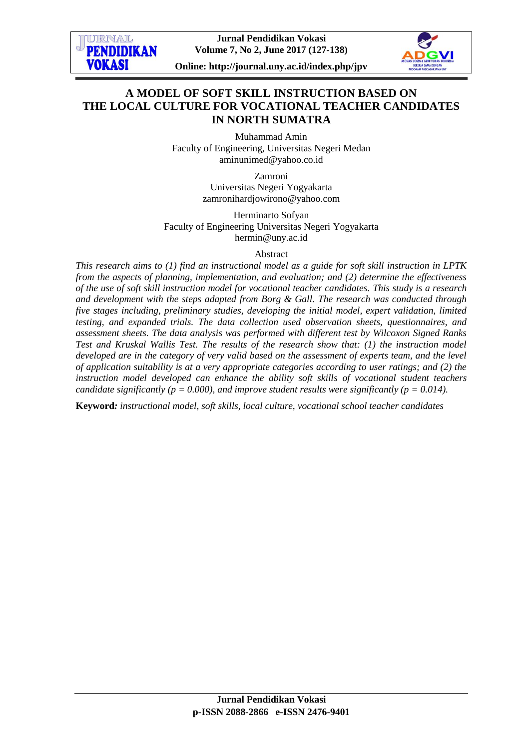

# **A MODEL OF SOFT SKILL INSTRUCTION BASED ON THE LOCAL CULTURE FOR VOCATIONAL TEACHER CANDIDATES IN NORTH SUMATRA**

Muhammad Amin Faculty of Engineering, Universitas Negeri Medan [aminunimed@yahoo.co.id](mailto:aminunimed@yahoo.co.id)

> Zamroni Universitas Negeri Yogyakarta zamronihardjowirono@yahoo.com

Herminarto Sofyan Faculty of Engineering Universitas Negeri Yogyakarta hermin@uny.ac.id

### Abstract

*This research aims to (1) find an instructional model as a guide for soft skill instruction in LPTK from the aspects of planning, implementation, and evaluation; and (2) determine the effectiveness of the use of soft skill instruction model for vocational teacher candidates. This study is a research and development with the steps adapted from Borg & Gall. The research was conducted through five stages including, preliminary studies, developing the initial model, expert validation, limited testing, and expanded trials. The data collection used observation sheets, questionnaires, and assessment sheets. The data analysis was performed with different test by Wilcoxon Signed Ranks Test and Kruskal Wallis Test. The results of the research show that: (1) the instruction model developed are in the category of very valid based on the assessment of experts team, and the level of application suitability is at a very appropriate categories according to user ratings; and (2) the instruction model developed can enhance the ability soft skills of vocational student teachers candidate significantly (p = 0.000), and improve student results were significantly (p = 0.014).* 

**Keyword***: instructional model, soft skills, local culture, vocational school teacher candidates*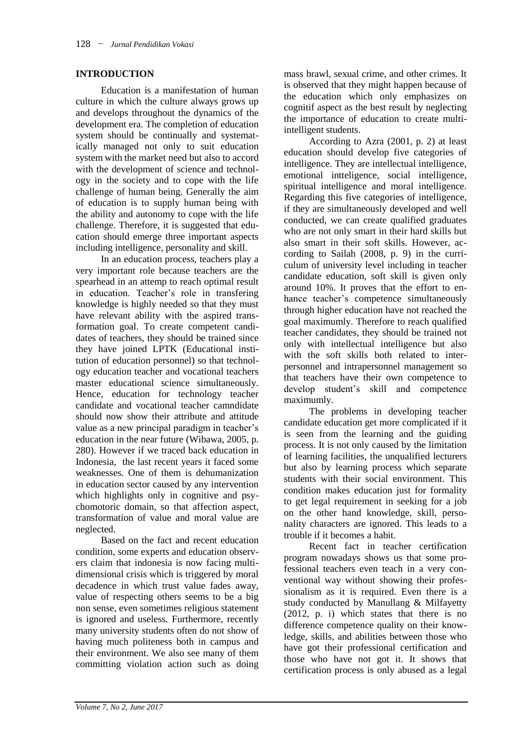### **INTRODUCTION**

Education is a manifestation of human culture in which the culture always grows up and develops throughout the dynamics of the development era. The completion of education system should be continually and systematically managed not only to suit education system with the market need but also to accord with the development of science and technology in the society and to cope with the life challenge of human being. Generally the aim of education is to supply human being with the ability and autonomy to cope with the life challenge. Therefore, it is suggested that education should emerge three important aspects including intelligence, personality and skill.

In an education process, teachers play a very important role because teachers are the spearhead in an attemp to reach optimal result in education. Teacher's role in transfering knowledge is highly needed so that they must have relevant ability with the aspired transformation goal. To create competent candidates of teachers, they should be trained since they have joined LPTK (Educational institution of education personnel) so that technology education teacher and vocational teachers master educational science simultaneously. Hence, education for technology teacher candidate and vocational teacher camndidate should now show their attribute and attitude value as a new principal paradigm in teacher's education in the near future (Wibawa, 2005, p. 280). However if we traced back education in Indonesia, the last recent years it faced some weaknesses. One of them is dehumanization in education sector caused by any intervention which highlights only in cognitive and psychomotoric domain, so that affection aspect, transformation of value and moral value are neglected.

Based on the fact and recent education condition, some experts and education observers claim that indonesia is now facing multidimensional crisis which is triggered by moral decadence in which trust value fades away, value of respecting others seems to be a big non sense, even sometimes religious statement is ignored and useless. Furthermore, recently many university students often do not show of having much politeness both in campus and their environment. We also see many of them committing violation action such as doing

mass brawl, sexual crime, and other crimes. It is observed that they might happen because of the education which only emphasizes on cognitif aspect as the best result by neglecting the importance of education to create multiintelligent students.

According to Azra (2001, p. 2) at least education should develop five categories of intelligence. They are intellectual intelligence, emotional intteligence, social intelligence, spiritual intelligence and moral intelligence. Regarding this five categories of intelligence, if they are simultaneously developed and well conducted, we can create qualified graduates who are not only smart in their hard skills but also smart in their soft skills. However, according to Sailah (2008, p. 9) in the curriculum of university level including in teacher candidate education, soft skill is given only around 10%. It proves that the effort to enhance teacher's competence simultaneously through higher education have not reached the goal maximumly. Therefore to reach qualified teacher candidates, they should be trained not only with intellectual intelligence but also with the soft skills both related to interpersonnel and intrapersonnel management so that teachers have their own competence to develop student's skill and competence maximumly.

The problems in developing teacher candidate education get more complicated if it is seen from the learning and the guiding process. It is not only caused by the limitation of learning facilities, the unqualified lecturers but also by learning process which separate students with their social environment. This condition makes education just for formality to get legal requirement in seeking for a job on the other hand knowledge, skill, personality characters are ignored. This leads to a trouble if it becomes a habit.

Recent fact in teacher certification program nowadays shows us that some professional teachers even teach in a very conventional way without showing their professionalism as it is required. Even there is a study conducted by Manullang & Milfayetty (2012, p. i) which states that there is no difference competence quality on their knowledge, skills, and abilities between those who have got their professional certification and those who have not got it. It shows that certification process is only abused as a legal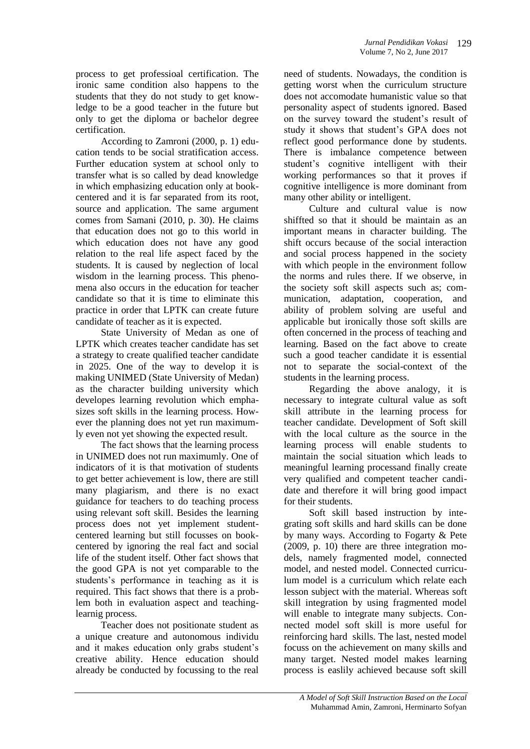process to get professioal certification. The ironic same condition also happens to the students that they do not study to get knowledge to be a good teacher in the future but only to get the diploma or bachelor degree certification.

According to Zamroni (2000, p. 1) education tends to be social stratification access. Further education system at school only to transfer what is so called by dead knowledge in which emphasizing education only at bookcentered and it is far separated from its root, source and application. The same argument comes from Samani (2010, p. 30). He claims that education does not go to this world in which education does not have any good relation to the real life aspect faced by the students. It is caused by neglection of local wisdom in the learning process. This phenomena also occurs in the education for teacher candidate so that it is time to eliminate this practice in order that LPTK can create future candidate of teacher as it is expected.

State University of Medan as one of LPTK which creates teacher candidate has set a strategy to create qualified teacher candidate in 2025. One of the way to develop it is making UNIMED (State University of Medan) as the character building university which developes learning revolution which emphasizes soft skills in the learning process. However the planning does not yet run maximumly even not yet showing the expected result.

The fact shows that the learning process in UNIMED does not run maximumly. One of indicators of it is that motivation of students to get better achievement is low, there are still many plagiarism, and there is no exact guidance for teachers to do teaching process using relevant soft skill. Besides the learning process does not yet implement studentcentered learning but still focusses on bookcentered by ignoring the real fact and social life of the student itself. Other fact shows that the good GPA is not yet comparable to the students's performance in teaching as it is required. This fact shows that there is a problem both in evaluation aspect and teachinglearnig process.

Teacher does not positionate student as a unique creature and autonomous individu and it makes education only grabs student's creative ability. Hence education should already be conducted by focussing to the real

need of students. Nowadays, the condition is getting worst when the curriculum structure does not accomodate humanistic value so that personality aspect of students ignored. Based on the survey toward the student's result of study it shows that student's GPA does not reflect good performance done by students. There is imbalance competence between student's cognitive intelligent with their working performances so that it proves if cognitive intelligence is more dominant from many other ability or intelligent.

Culture and cultural value is now shiffted so that it should be maintain as an important means in character building. The shift occurs because of the social interaction and social process happened in the society with which people in the environment follow the norms and rules there. If we observe, in the society soft skill aspects such as; communication, adaptation, cooperation, and ability of problem solving are useful and applicable but ironically those soft skills are often concerned in the process of teaching and learning. Based on the fact above to create such a good teacher candidate it is essential not to separate the social-context of the students in the learning process.

Regarding the above analogy, it is necessary to integrate cultural value as soft skill attribute in the learning process for teacher candidate. Development of Soft skill with the local culture as the source in the learning process will enable students to maintain the social situation which leads to meaningful learning processand finally create very qualified and competent teacher candidate and therefore it will bring good impact for their students.

Soft skill based instruction by integrating soft skills and hard skills can be done by many ways. According to Fogarty & Pete (2009, p. 10) there are three integration models, namely fragmented model, connected model, and nested model. Connected curriculum model is a curriculum which relate each lesson subject with the material. Whereas soft skill integration by using fragmented model will enable to integrate many subjects. Connected model soft skill is more useful for reinforcing hard skills. The last, nested model focuss on the achievement on many skills and many target. Nested model makes learning process is easlily achieved because soft skill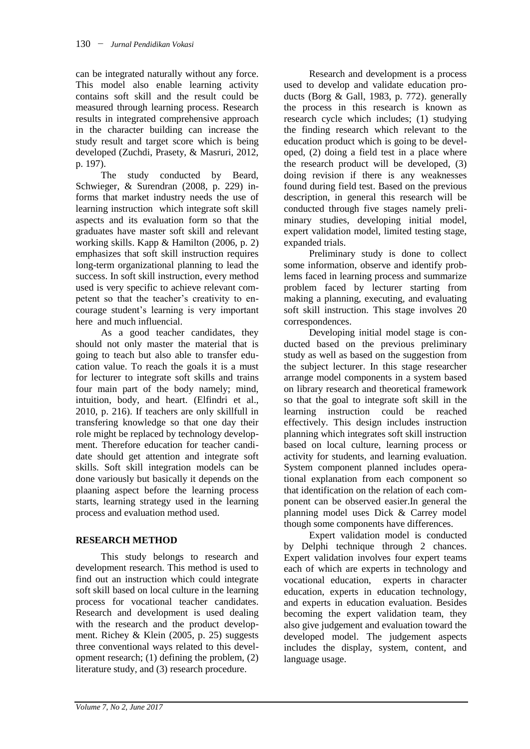can be integrated naturally without any force. This model also enable learning activity contains soft skill and the result could be measured through learning process. Research results in integrated comprehensive approach in the character building can increase the study result and target score which is being developed (Zuchdi, Prasety, & Masruri, 2012, p. 197).

The study conducted by Beard, Schwieger, & Surendran (2008, p. 229) informs that market industry needs the use of learning instruction which integrate soft skill aspects and its evaluation form so that the graduates have master soft skill and relevant working skills. Kapp & Hamilton (2006, p. 2) emphasizes that soft skill instruction requires long-term organizational planning to lead the success. In soft skill instruction, every method used is very specific to achieve relevant competent so that the teacher's creativity to encourage student's learning is very important here and much influencial.

As a good teacher candidates, they should not only master the material that is going to teach but also able to transfer education value. To reach the goals it is a must for lecturer to integrate soft skills and trains four main part of the body namely; mind, intuition, body, and heart. (Elfindri et al., 2010, p. 216). If teachers are only skillfull in transfering knowledge so that one day their role might be replaced by technology development. Therefore education for teacher candidate should get attention and integrate soft skills. Soft skill integration models can be done variously but basically it depends on the plaaning aspect before the learning process starts, learning strategy used in the learning process and evaluation method used.

# **RESEARCH METHOD**

This study belongs to research and development research. This method is used to find out an instruction which could integrate soft skill based on local culture in the learning process for vocational teacher candidates. Research and development is used dealing with the research and the product development. Richey & Klein (2005, p. 25) suggests three conventional ways related to this development research; (1) defining the problem, (2) literature study, and (3) research procedure.

Research and development is a process used to develop and validate education products (Borg & Gall, 1983, p. 772). generally the process in this research is known as research cycle which includes; (1) studying the finding research which relevant to the education product which is going to be developed, (2) doing a field test in a place where the research product will be developed, (3) doing revision if there is any weaknesses found during field test. Based on the previous description, in general this research will be conducted through five stages namely preliminary studies, developing initial model, expert validation model, limited testing stage, expanded trials.

Preliminary study is done to collect some information, observe and identify problems faced in learning process and summarize problem faced by lecturer starting from making a planning, executing, and evaluating soft skill instruction. This stage involves 20 correspondences.

Developing initial model stage is conducted based on the previous preliminary study as well as based on the suggestion from the subject lecturer. In this stage researcher arrange model components in a system based on library research and theoretical framework so that the goal to integrate soft skill in the learning instruction could be reached effectively. This design includes instruction planning which integrates soft skill instruction based on local culture, learning process or activity for students, and learning evaluation. System component planned includes operational explanation from each component so that identification on the relation of each component can be observed easier.In general the planning model uses Dick & Carrey model though some components have differences.

Expert validation model is conducted by Delphi technique through 2 chances. Expert validation involves four expert teams each of which are experts in technology and vocational education, experts in character education, experts in education technology, and experts in education evaluation. Besides becoming the expert validation team, they also give judgement and evaluation toward the developed model. The judgement aspects includes the display, system, content, and language usage.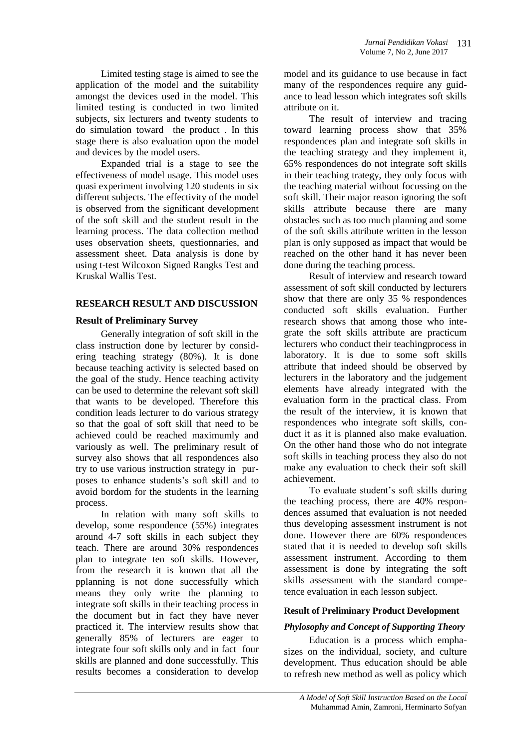Limited testing stage is aimed to see the application of the model and the suitability amongst the devices used in the model. This limited testing is conducted in two limited subjects, six lecturers and twenty students to do simulation toward the product . In this stage there is also evaluation upon the model and devices by the model users.

Expanded trial is a stage to see the effectiveness of model usage. This model uses quasi experiment involving 120 students in six different subjects. The effectivity of the model is observed from the significant development of the soft skill and the student result in the learning process. The data collection method uses observation sheets, questionnaries, and assessment sheet. Data analysis is done by using t-test Wilcoxon Signed Rangks Test and Kruskal Wallis Test.

### **RESEARCH RESULT AND DISCUSSION**

### **Result of Preliminary Survey**

Generally integration of soft skill in the class instruction done by lecturer by considering teaching strategy (80%). It is done because teaching activity is selected based on the goal of the study. Hence teaching activity can be used to determine the relevant soft skill that wants to be developed. Therefore this condition leads lecturer to do various strategy so that the goal of soft skill that need to be achieved could be reached maximumly and variously as well. The preliminary result of survey also shows that all respondences also try to use various instruction strategy in purposes to enhance students's soft skill and to avoid bordom for the students in the learning process.

In relation with many soft skills to develop, some respondence (55%) integrates around 4-7 soft skills in each subject they teach. There are around 30% respondences plan to integrate ten soft skills. However, from the research it is known that all the pplanning is not done successfully which means they only write the planning to integrate soft skills in their teaching process in the document but in fact they have never practiced it. The interview results show that generally 85% of lecturers are eager to integrate four soft skills only and in fact four skills are planned and done successfully. This results becomes a consideration to develop

model and its guidance to use because in fact many of the respondences require any guidance to lead lesson which integrates soft skills attribute on it.

The result of interview and tracing toward learning process show that 35% respondences plan and integrate soft skills in the teaching strategy and they implement it, 65% respondences do not integrate soft skills in their teaching trategy, they only focus with the teaching material without focussing on the soft skill. Their major reason ignoring the soft skills attribute because there are many obstacles such as too much planning and some of the soft skills attribute written in the lesson plan is only supposed as impact that would be reached on the other hand it has never been done during the teaching process.

Result of interview and research toward assessment of soft skill conducted by lecturers show that there are only 35 % respondences conducted soft skills evaluation. Further research shows that among those who integrate the soft skills attribute are practicum lecturers who conduct their teachingprocess in laboratory. It is due to some soft skills attribute that indeed should be observed by lecturers in the laboratory and the judgement elements have already integrated with the evaluation form in the practical class. From the result of the interview, it is known that respondences who integrate soft skills, conduct it as it is planned also make evaluation. On the other hand those who do not integrate soft skills in teaching process they also do not make any evaluation to check their soft skill achievement.

To evaluate student's soft skills during the teaching process, there are 40% respondences assumed that evaluation is not needed thus developing assessment instrument is not done. However there are 60% respondences stated that it is needed to develop soft skills assessment instrument. According to them assessment is done by integrating the soft skills assessment with the standard competence evaluation in each lesson subject.

# **Result of Preliminary Product Development**

# *Phylosophy and Concept of Supporting Theory*

Education is a process which emphasizes on the individual, society, and culture development. Thus education should be able to refresh new method as well as policy which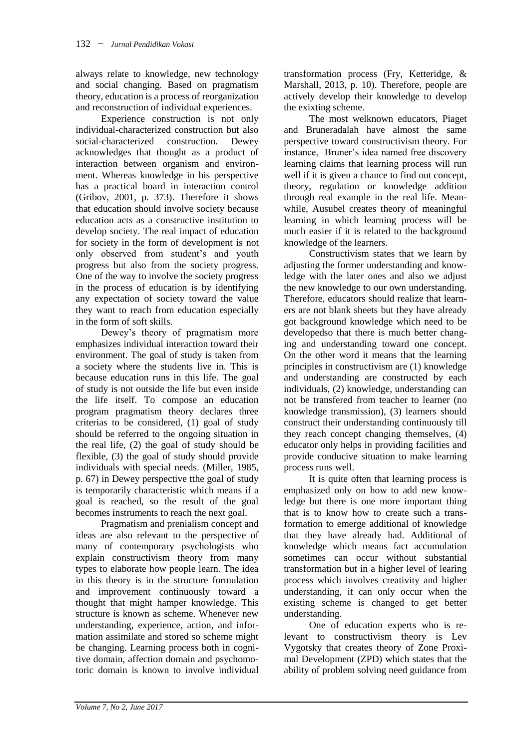always relate to knowledge, new technology and social changing. Based on pragmatism theory, education is a process of reorganization and reconstruction of individual experiences.

Experience construction is not only individual-characterized construction but also social-characterized construction. Dewey acknowledges that thought as a product of interaction between organism and environment. Whereas knowledge in his perspective has a practical board in interaction control (Gribov, 2001, p. 373). Therefore it shows that education should involve society because education acts as a constructive institution to develop society. The real impact of education for society in the form of development is not only observed from student's and youth progress but also from the society progress. One of the way to involve the society progress in the process of education is by identifying any expectation of society toward the value they want to reach from education especially in the form of soft skills.

Dewey's theory of pragmatism more emphasizes individual interaction toward their environment. The goal of study is taken from a society where the students live in. This is because education runs in this life. The goal of study is not outside the life but even inside the life itself. To compose an education program pragmatism theory declares three criterias to be considered, (1) goal of study should be referred to the ongoing situation in the real life, (2) the goal of study should be flexible, (3) the goal of study should provide individuals with special needs. (Miller, 1985, p. 67) in Dewey perspective tthe goal of study is temporarily characteristic which means if a goal is reached, so the result of the goal becomes instruments to reach the next goal.

Pragmatism and prenialism concept and ideas are also relevant to the perspective of many of contemporary psychologists who explain constructivism theory from many types to elaborate how people learn. The idea in this theory is in the structure formulation and improvement continuously toward a thought that might hamper knowledge. This structure is known as scheme. Whenever new understanding, experience, action, and information assimilate and stored so scheme might be changing. Learning process both in cognitive domain, affection domain and psychomotoric domain is known to involve individual

transformation process (Fry, Ketteridge, & Marshall, 2013, p. 10). Therefore, people are actively develop their knowledge to develop the exixting scheme.

The most welknown educators, Piaget and Bruneradalah have almost the same perspective toward constructivism theory. For instance, Bruner's idea named free discovery learning claims that learning process will run well if it is given a chance to find out concept, theory, regulation or knowledge addition through real example in the real life. Meanwhile, Ausubel creates theory of meaningful learning in which learning process will be much easier if it is related to the background knowledge of the learners.

Constructivism states that we learn by adjusting the former understanding and knowledge with the later ones and also we adjust the new knowledge to our own understanding. Therefore, educators should realize that learners are not blank sheets but they have already got background knowledge which need to be developedso that there is much better changing and understanding toward one concept. On the other word it means that the learning principles in constructivism are (1) knowledge and understanding are constructed by each individuals, (2) knowledge, understanding can not be transfered from teacher to learner (no knowledge transmission), (3) learners should construct their understanding continuously till they reach concept changing themselves, (4) educator only helps in providing facilities and provide conducive situation to make learning process runs well.

It is quite often that learning process is emphasized only on how to add new knowledge but there is one more important thing that is to know how to create such a transformation to emerge additional of knowledge that they have already had. Additional of knowledge which means fact accumulation sometimes can occur without substantial transformation but in a higher level of learing process which involves creativity and higher understanding, it can only occur when the existing scheme is changed to get better understanding.

One of education experts who is relevant to constructivism theory is Lev Vygotsky that creates theory of Zone Proximal Development (ZPD) which states that the ability of problem solving need guidance from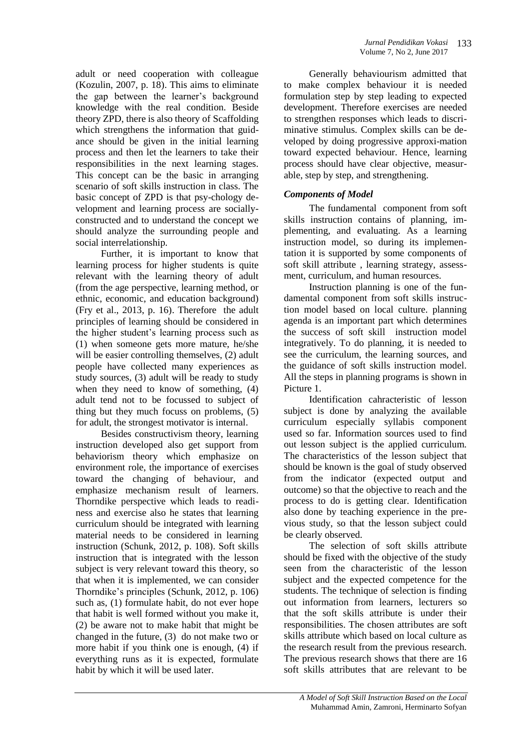adult or need cooperation with colleague (Kozulin, 2007, p. 18). This aims to eliminate the gap between the learner's background knowledge with the real condition. Beside theory ZPD, there is also theory of Scaffolding which strengthens the information that guidance should be given in the initial learning process and then let the learners to take their responsibilities in the next learning stages. This concept can be the basic in arranging scenario of soft skills instruction in class. The basic concept of ZPD is that psy-chology development and learning process are sociallyconstructed and to understand the concept we should analyze the surrounding people and social interrelationship.

Further, it is important to know that learning process for higher students is quite relevant with the learning theory of adult (from the age perspective, learning method, or ethnic, economic, and education background) (Fry et al., 2013, p. 16). Therefore the adult principles of learning should be considered in the higher student's learning process such as (1) when someone gets more mature, he/she will be easier controlling themselves,  $(2)$  adult people have collected many experiences as study sources, (3) adult will be ready to study when they need to know of something, (4) adult tend not to be focussed to subject of thing but they much focuss on problems, (5) for adult, the strongest motivator is internal.

Besides constructivism theory, learning instruction developed also get support from behaviorism theory which emphasize on environment role, the importance of exercises toward the changing of behaviour, and emphasize mechanism result of learners. Thorndike perspective which leads to readiness and exercise also he states that learning curriculum should be integrated with learning material needs to be considered in learning instruction (Schunk, 2012, p. 108). Soft skills instruction that is integrated with the lesson subject is very relevant toward this theory, so that when it is implemented, we can consider Thorndike's principles (Schunk, 2012, p. 106) such as, (1) formulate habit, do not ever hope that habit is well formed without you make it, (2) be aware not to make habit that might be changed in the future, (3) do not make two or more habit if you think one is enough, (4) if everything runs as it is expected, formulate habit by which it will be used later.

Generally behaviourism admitted that to make complex behaviour it is needed formulation step by step leading to expected development. Therefore exercises are needed to strengthen responses which leads to discriminative stimulus. Complex skills can be developed by doing progressive approxi-mation toward expected behaviour. Hence, learning process should have clear objective, measurable, step by step, and strengthening.

# *Components of Model*

The fundamental component from soft skills instruction contains of planning, implementing, and evaluating. As a learning instruction model, so during its implementation it is supported by some components of soft skill attribute , learning strategy, assessment, curriculum, and human resources.

Instruction planning is one of the fundamental component from soft skills instruction model based on local culture. planning agenda is an important part which determines the success of soft skill instruction model integratively. To do planning, it is needed to see the curriculum, the learning sources, and the guidance of soft skills instruction model. All the steps in planning programs is shown in Picture 1.

Identification cahracteristic of lesson subject is done by analyzing the available curriculum especially syllabis component used so far. Information sources used to find out lesson subject is the applied curriculum. The characteristics of the lesson subject that should be known is the goal of study observed from the indicator (expected output and outcome) so that the objective to reach and the process to do is getting clear. Identification also done by teaching experience in the previous study, so that the lesson subject could be clearly observed.

The selection of soft skills attribute should be fixed with the objective of the study seen from the characteristic of the lesson subject and the expected competence for the students. The technique of selection is finding out information from learners, lecturers so that the soft skills attribute is under their responsibilities. The chosen attributes are soft skills attribute which based on local culture as the research result from the previous research. The previous research shows that there are 16 soft skills attributes that are relevant to be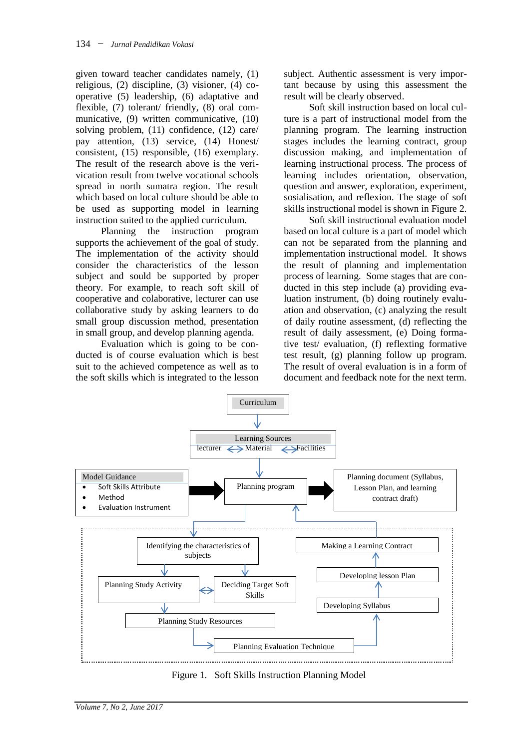given toward teacher candidates namely, (1) religious, (2) discipline, (3) visioner, (4) cooperative (5) leadership, (6) adaptative and flexible, (7) tolerant/ friendly, (8) oral communicative, (9) written communicative, (10) solving problem, (11) confidence, (12) care/ pay attention, (13) service, (14) Honest/ consistent, (15) responsible, (16) exemplary. The result of the research above is the verivication result from twelve vocational schools spread in north sumatra region. The result which based on local culture should be able to be used as supporting model in learning instruction suited to the applied curriculum.

Planning the instruction program supports the achievement of the goal of study. The implementation of the activity should consider the characteristics of the lesson subject and sould be supported by proper theory. For example, to reach soft skill of cooperative and colaborative, lecturer can use collaborative study by asking learners to do small group discussion method, presentation in small group, and develop planning agenda.

Evaluation which is going to be conducted is of course evaluation which is best suit to the achieved competence as well as to the soft skills which is integrated to the lesson subject. Authentic assessment is very important because by using this assessment the result will be clearly observed.

Soft skill instruction based on local culture is a part of instructional model from the planning program. The learning instruction stages includes the learning contract, group discussion making, and implementation of learning instructional process. The process of learning includes orientation, observation, question and answer, exploration, experiment, sosialisation, and reflexion. The stage of soft skills instructional model is shown in Figure 2.

Soft skill instructional evaluation model based on local culture is a part of model which can not be separated from the planning and implementation instructional model. It shows the result of planning and implementation process of learning. Some stages that are conducted in this step include (a) providing evaluation instrument, (b) doing routinely evaluation and observation, (c) analyzing the result of daily routine assessment, (d) reflecting the result of daily assessment, (e) Doing formative test/ evaluation, (f) reflexting formative test result, (g) planning follow up program. The result of overal evaluation is in a form of document and feedback note for the next term.



Figure 1. Soft Skills Instruction Planning Model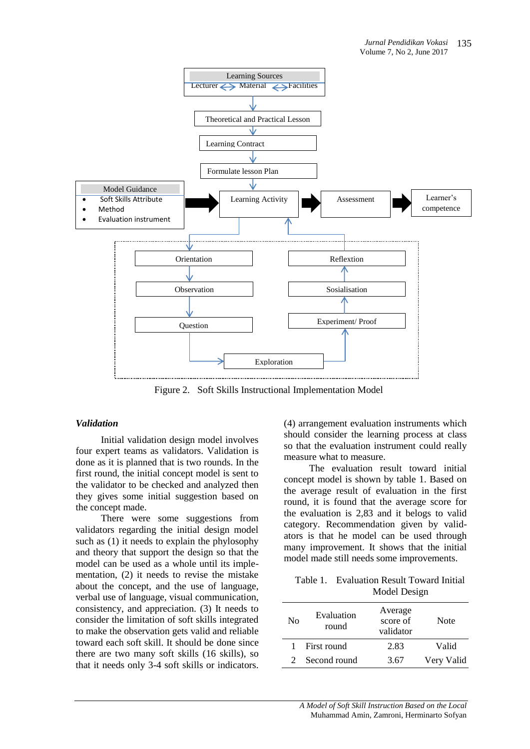

Figure 2. Soft Skills Instructional Implementation Model

### *Validation*

Initial validation design model involves four expert teams as validators. Validation is done as it is planned that is two rounds. In the first round, the initial concept model is sent to the validator to be checked and analyzed then they gives some initial suggestion based on the concept made.

There were some suggestions from validators regarding the initial design model such as (1) it needs to explain the phylosophy and theory that support the design so that the model can be used as a whole until its implementation, (2) it needs to revise the mistake about the concept, and the use of language, verbal use of language, visual communication, consistency, and appreciation. (3) It needs to consider the limitation of soft skills integrated to make the observation gets valid and reliable toward each soft skill. It should be done since there are two many soft skills (16 skills), so that it needs only 3-4 soft skills or indicators. (4) arrangement evaluation instruments which should consider the learning process at class so that the evaluation instrument could really measure what to measure.

The evaluation result toward initial concept model is shown by table 1. Based on the average result of evaluation in the first round, it is found that the average score for the evaluation is 2,83 and it belogs to valid category. Recommendation given by validators is that he model can be used through many improvement. It shows that the initial model made still needs some improvements.

Table 1. Evaluation Result Toward Initial Model Design

| N <sub>0</sub> | Evaluation<br>round | Average<br>score of<br>validator | Note       |
|----------------|---------------------|----------------------------------|------------|
| 1              | First round         | 2.83                             | Valid      |
| $\mathcal{D}$  | Second round        | 3.67                             | Very Valid |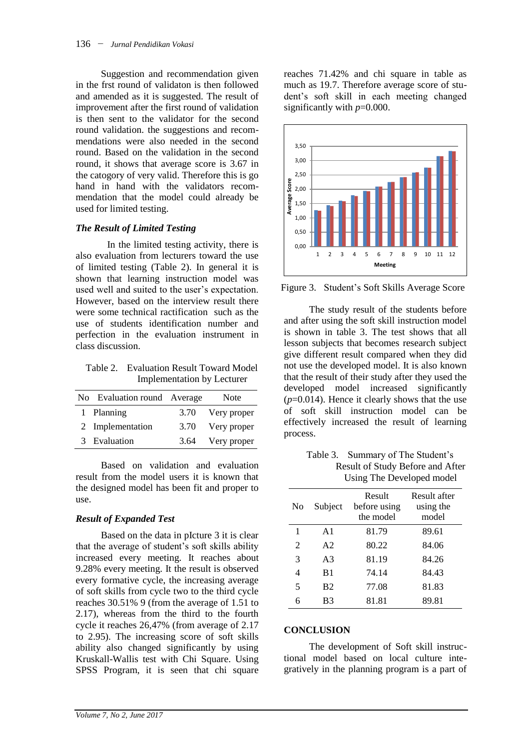Suggestion and recommendation given in the frst round of validaton is then followed and amended as it is suggested. The result of improvement after the first round of validation is then sent to the validator for the second round validation. the suggestions and recommendations were also needed in the second round. Based on the validation in the second round, it shows that average score is 3.67 in the catogory of very valid. Therefore this is go hand in hand with the validators recommendation that the model could already be used for limited testing.

### *The Result of Limited Testing*

In the limited testing activity, there is also evaluation from lecturers toward the use of limited testing (Table 2). In general it is shown that learning instruction model was used well and suited to the user's expectation. However, based on the interview result there were some technical ractification such as the use of students identification number and perfection in the evaluation instrument in class discussion.

Table 2. Evaluation Result Toward Model Implementation by Lecturer

| No Evaluation round Average |      | Note        |
|-----------------------------|------|-------------|
| 1 Planning                  | 3.70 | Very proper |
| 2 Implementation            | 3.70 | Very proper |
| 3 Evaluation                | 3.64 | Very proper |

Based on validation and evaluation result from the model users it is known that the designed model has been fit and proper to use.

### *Result of Expanded Test*

Based on the data in pIcture 3 it is clear that the average of student's soft skills ability increased every meeting. It reaches about 9.28% every meeting. It the result is observed every formative cycle, the increasing average of soft skills from cycle two to the third cycle reaches 30.51% 9 (from the average of 1.51 to 2.17), whereas from the third to the fourth cycle it reaches 26,47% (from average of 2.17 to 2.95). The increasing score of soft skills ability also changed significantly by using Kruskall-Wallis test with Chi Square. Using SPSS Program, it is seen that chi square

reaches 71.42% and chi square in table as much as 19.7. Therefore average score of student's soft skill in each meeting changed significantly with *p*=0.000.



Figure 3. Student's Soft Skills Average Score

The study result of the students before and after using the soft skill instruction model is shown in table 3. The test shows that all lesson subjects that becomes research subject give different result compared when they did not use the developed model. It is also known that the result of their study after they used the developed model increased significantly (*p*=0.014). Hence it clearly shows that the use of soft skill instruction model can be effectively increased the result of learning process.

Table 3. Summary of The Student's Result of Study Before and After Using The Developed model

| No | Subject        | Result<br>before using<br>the model | Result after<br>using the<br>model |
|----|----------------|-------------------------------------|------------------------------------|
| 1  | A <sub>1</sub> | 81.79                               | 89.61                              |
| 2  | A <sub>2</sub> | 80.22                               | 84.06                              |
| 3  | A <sub>3</sub> | 81.19                               | 84.26                              |
| 4  | B <sub>1</sub> | 74.14                               | 84.43                              |
| 5  | <b>B2</b>      | 77.08                               | 81.83                              |
| 6  | B3             | 81.81                               | 89.81                              |

#### **CONCLUSION**

The development of Soft skill instructional model based on local culture integratively in the planning program is a part of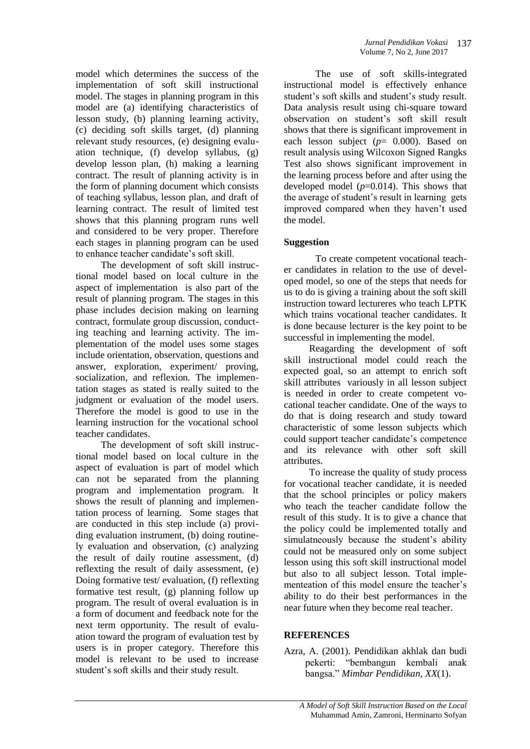model which determines the success of the implementation of soft skill instructional model. The stages in planning program in this model are (a) identifying characteristics of lesson study, (b) planning learning activity, (c) deciding soft skills target, (d) planning relevant study resources, (e) designing evaluation technique, (f) develop syllabus, (g) develop lesson plan, (h) making a learning contract. The result of planning activity is in the form of planning document which consists of teaching syllabus, lesson plan, and draft of learning contract. The result of limited test shows that this planning program runs well and considered to be very proper. Therefore each stages in planning program can be used to enhance teacher candidate's soft skill.

The development of soft skill instructional model based on local culture in the aspect of implementation is also part of the result of planning program. The stages in this phase includes decision making on learning contract, formulate group discussion, conducting teaching and learning activity. The implementation of the model uses some stages include orientation, observation, questions and answer, exploration, experiment/ proving, socialization, and reflexion. The implementation stages as stated is really suited to the judgment or evaluation of the model users. Therefore the model is good to use in the learning instruction for the vocational school teacher candidates.

The development of soft skill instructional model based on local culture in the aspect of evaluation is part of model which can not be separated from the planning program and implementation program. It shows the result of planning and implementation process of learning. Some stages that are conducted in this step include (a) providing evaluation instrument, (b) doing routinely evaluation and observation, (c) analyzing the result of daily routine assessment, (d) reflexting the result of daily assessment, (e) Doing formative test/ evaluation, (f) reflexting formative test result, (g) planning follow up program. The result of overal evaluation is in a form of document and feedback note for the next term opportunity. The result of evaluation toward the program of evaluation test by users is in proper category. Therefore this model is relevant to be used to increase student's soft skills and their study result.

The use of soft skills-integrated instructional model is effectively enhance student's soft skills and student's study result. Data analysis result using chi-square toward observation on student's soft skill result shows that there is significant improvement in each lesson subject (*p*= 0.000). Based on result analysis using Wilcoxon Signed Rangks Test also shows significant improvement in the learning process before and after using the developed model (*p*=0.014). This shows that the average of student's result in learning gets improved compared when they haven't used the model.

# **Suggestion**

To create competent vocational teacher candidates in relation to the use of developed model, so one of the steps that needs for us to do is giving a training about the soft skill instruction toward lectureres who teach LPTK which trains vocational teacher candidates. It is done because lecturer is the key point to be successful in implementing the model.

Reagarding the development of soft skill instructional model could reach the expected goal, so an attempt to enrich soft skill attributes variously in all lesson subject is needed in order to create competent vocational teacher candidate. One of the ways to do that is doing research and study toward characteristic of some lesson subjects which could support teacher candidate's competence and its relevance with other soft skill attributes.

To increase the quality of study process for vocational teacher candidate, it is needed that the school principles or policy makers who teach the teacher candidate follow the result of this study. It is to give a chance that the policy could be implemented totally and simulatneously because the student's ability could not be measured only on some subject lesson using this soft skill instructional model but also to all subject lesson. Total implementeation of this model ensure the teacher's ability to do their best performances in the near future when they become real teacher.

# **REFERENCES**

Azra, A. (2001). Pendidikan akhlak dan budi pekerti: "bembangun kembali anak bangsa." *Mimbar Pendidikan*, *XX*(1).